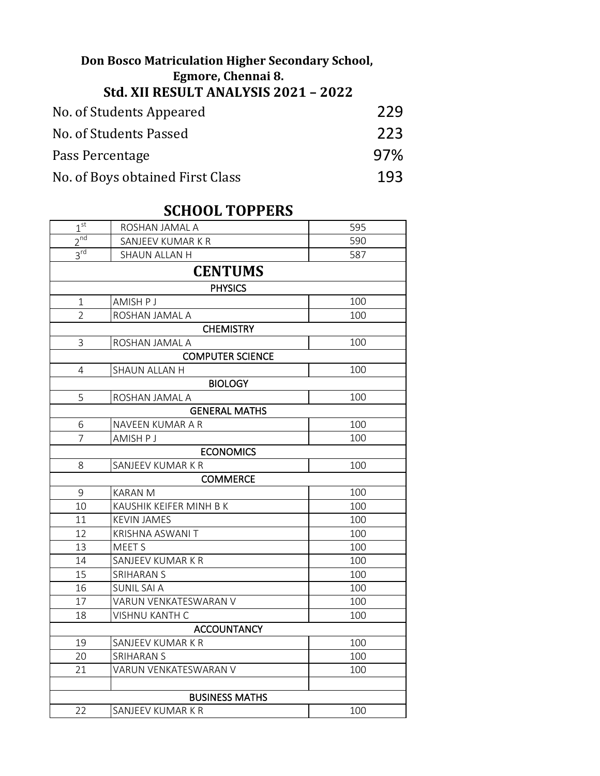## No. of Students Appeared 229 No. of Students Passed 223 Pass Percentage 97% No. of Boys obtained First Class 193 **Don Bosco Matriculation Higher Secondary School, Egmore, Chennai 8. Std. XII RESULT ANALYSIS 2021 – 2022**

## **SCHOOL TOPPERS**

| $1^{\rm st}$            | ROSHAN JAMAL A          | 595 |  |  |
|-------------------------|-------------------------|-----|--|--|
| $2^{nd}$                | SANJEEV KUMAR K R       | 590 |  |  |
| 3 <sup>rd</sup>         | SHAUN ALLAN H           | 587 |  |  |
| <b>CENTUMS</b>          |                         |     |  |  |
|                         | <b>PHYSICS</b>          |     |  |  |
| $\mathbf{1}$            | AMISH P J               | 100 |  |  |
| $\overline{2}$          | ROSHAN JAMAL A          | 100 |  |  |
| <b>CHEMISTRY</b>        |                         |     |  |  |
| 3                       | ROSHAN JAMAL A          | 100 |  |  |
| <b>COMPUTER SCIENCE</b> |                         |     |  |  |
| 4                       | SHAUN ALLAN H           | 100 |  |  |
| <b>BIOLOGY</b>          |                         |     |  |  |
| 5                       | ROSHAN JAMAL A          | 100 |  |  |
|                         | <b>GENERAL MATHS</b>    |     |  |  |
| 6                       | NAVEEN KUMAR A R        | 100 |  |  |
| $\overline{7}$          | AMISH P J               | 100 |  |  |
|                         | <b>ECONOMICS</b>        |     |  |  |
| 8                       | SANJEEV KUMAR K R       | 100 |  |  |
| <b>COMMERCE</b>         |                         |     |  |  |
| 9                       | <b>KARAN M</b>          | 100 |  |  |
| 10                      | KAUSHIK KEIFER MINH B K | 100 |  |  |
| 11                      | <b>KEVIN JAMES</b>      | 100 |  |  |
| 12                      | KRISHNA ASWANI T        | 100 |  |  |
| 13                      | <b>MEETS</b>            | 100 |  |  |
| 14                      | SANJEEV KUMAR K R       | 100 |  |  |
| 15                      | <b>SRIHARAN S</b>       | 100 |  |  |
| 16                      | <b>SUNIL SAI A</b>      | 100 |  |  |
| 17                      | VARUN VENKATESWARAN V   | 100 |  |  |
| 18                      | <b>VISHNU KANTH C</b>   | 100 |  |  |
| <b>ACCOUNTANCY</b>      |                         |     |  |  |
| 19                      | SANJEEV KUMAR K R       | 100 |  |  |
| 20                      | <b>SRIHARAN S</b>       | 100 |  |  |
| 21                      | VARUN VENKATESWARAN V   | 100 |  |  |
|                         |                         |     |  |  |
| <b>BUSINESS MATHS</b>   |                         |     |  |  |
| 22                      | SANJEEV KUMAR K R       | 100 |  |  |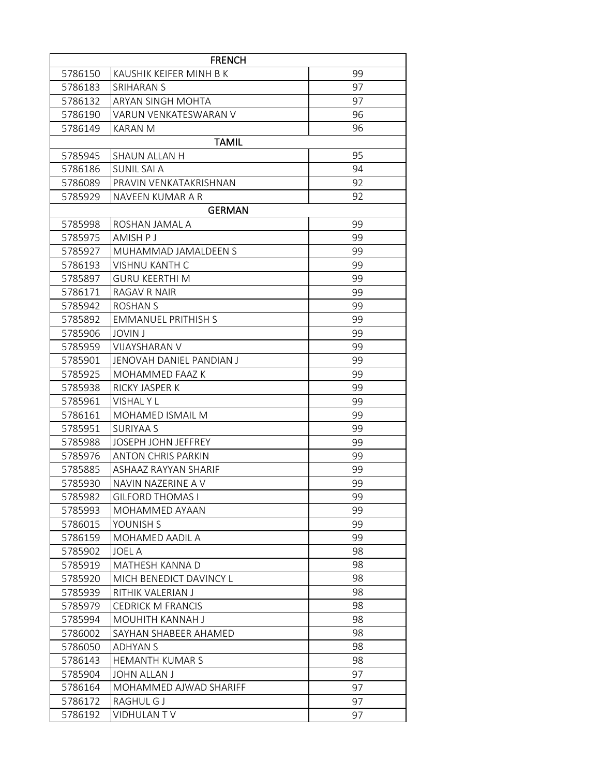| <b>FRENCH</b> |                            |    |  |  |
|---------------|----------------------------|----|--|--|
| 5786150       | KAUSHIK KEIFER MINH B K    | 99 |  |  |
| 5786183       | <b>SRIHARAN S</b>          | 97 |  |  |
| 5786132       | ARYAN SINGH MOHTA          | 97 |  |  |
| 5786190       | VARUN VENKATESWARAN V      | 96 |  |  |
| 5786149       | KARAN M                    | 96 |  |  |
|               | <b>TAMIL</b>               |    |  |  |
| 5785945       | <b>SHAUN ALLAN H</b>       | 95 |  |  |
| 5786186       | SUNIL SAI A                | 94 |  |  |
| 5786089       | PRAVIN VENKATAKRISHNAN     | 92 |  |  |
| 5785929       | NAVEEN KUMAR A R           | 92 |  |  |
|               | <b>GERMAN</b>              |    |  |  |
| 5785998       | ROSHAN JAMAL A             | 99 |  |  |
| 5785975       | AMISH P J                  | 99 |  |  |
| 5785927       | MUHAMMAD JAMALDEEN S       | 99 |  |  |
| 5786193       | <b>VISHNU KANTH C</b>      | 99 |  |  |
| 5785897       | <b>GURU KEERTHI M</b>      | 99 |  |  |
| 5786171       | RAGAV R NAIR               | 99 |  |  |
| 5785942       | <b>ROSHAN S</b>            | 99 |  |  |
| 5785892       | <b>EMMANUEL PRITHISH S</b> | 99 |  |  |
| 5785906       | <b>JOVIN J</b>             | 99 |  |  |
| 5785959       | VIJAYSHARAN V              | 99 |  |  |
| 5785901       | JENOVAH DANIEL PANDIAN J   | 99 |  |  |
| 5785925       | MOHAMMED FAAZ K            | 99 |  |  |
| 5785938       | RICKY JASPER K             | 99 |  |  |
| 5785961       | VISHAL Y L                 | 99 |  |  |
| 5786161       | MOHAMED ISMAIL M           | 99 |  |  |
| 5785951       | <b>SURIYAA S</b>           | 99 |  |  |
| 5785988       | JOSEPH JOHN JEFFREY        | 99 |  |  |
| 5785976       | ANTON CHRIS PARKIN         | 99 |  |  |
| 5785885       | ASHAAZ RAYYAN SHARIF       | 99 |  |  |
| 5785930       | NAVIN NAZERINE A V         | 99 |  |  |
| 5785982       | <b>GILFORD THOMAS I</b>    | 99 |  |  |
| 5785993       | MOHAMMED AYAAN             | 99 |  |  |
| 5786015       | YOUNISH S                  | 99 |  |  |
| 5786159       | MOHAMED AADIL A            | 99 |  |  |
| 5785902       | <b>JOEL A</b>              | 98 |  |  |
| 5785919       | MATHESH KANNA D            | 98 |  |  |
| 5785920       | MICH BENEDICT DAVINCY L    | 98 |  |  |
| 5785939       | RITHIK VALERIAN J          | 98 |  |  |
| 5785979       | <b>CEDRICK M FRANCIS</b>   | 98 |  |  |
| 5785994       | MOUHITH KANNAH J           | 98 |  |  |
| 5786002       | SAYHAN SHABEER AHAMED      | 98 |  |  |
| 5786050       | <b>ADHYAN S</b>            | 98 |  |  |
| 5786143       | <b>HEMANTH KUMAR S</b>     | 98 |  |  |
| 5785904       | <b>JOHN ALLAN J</b>        | 97 |  |  |
| 5786164       | MOHAMMED AJWAD SHARIFF     | 97 |  |  |
| 5786172       | RAGHUL G J                 | 97 |  |  |
| 5786192       | VIDHULAN TV                | 97 |  |  |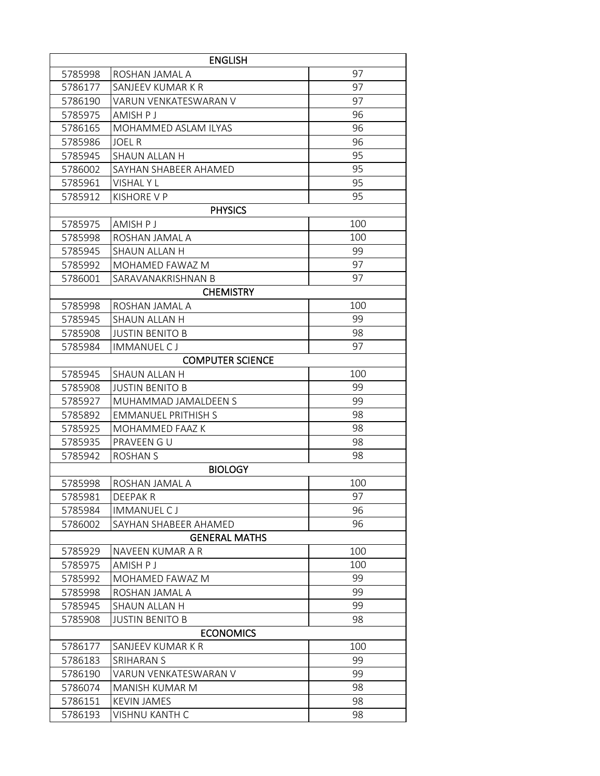|                      | <b>ENGLISH</b>             |     |  |  |  |
|----------------------|----------------------------|-----|--|--|--|
| 5785998              | ROSHAN JAMAL A             | 97  |  |  |  |
| 5786177              | SANJEEV KUMAR K R          | 97  |  |  |  |
| 5786190              | VARUN VENKATESWARAN V      | 97  |  |  |  |
| 5785975              | AMISH P J                  | 96  |  |  |  |
| 5786165              | MOHAMMED ASLAM ILYAS       | 96  |  |  |  |
| 5785986              | JOEL R                     | 96  |  |  |  |
| 5785945              | SHAUN ALLAN H              | 95  |  |  |  |
| 5786002              | SAYHAN SHABEER AHAMED      | 95  |  |  |  |
| 5785961              | VISHAL Y L                 | 95  |  |  |  |
| 5785912              | KISHORE V P                | 95  |  |  |  |
|                      | <b>PHYSICS</b>             |     |  |  |  |
| 5785975              | AMISH P J                  | 100 |  |  |  |
| 5785998              | ROSHAN JAMAL A             | 100 |  |  |  |
| 5785945              | SHAUN ALLAN H              | 99  |  |  |  |
| 5785992              | MOHAMED FAWAZ M            | 97  |  |  |  |
| 5786001              | SARAVANAKRISHNAN B         | 97  |  |  |  |
|                      | <b>CHEMISTRY</b>           |     |  |  |  |
| 5785998              | ROSHAN JAMAL A             | 100 |  |  |  |
| 5785945              | SHAUN ALLAN H              | 99  |  |  |  |
| 5785908              | <b>JUSTIN BENITO B</b>     | 98  |  |  |  |
| 5785984              | <b>IMMANUEL CJ</b>         | 97  |  |  |  |
|                      | <b>COMPUTER SCIENCE</b>    |     |  |  |  |
| 5785945              | <b>SHAUN ALLAN H</b>       | 100 |  |  |  |
| 5785908              | <b>JUSTIN BENITO B</b>     | 99  |  |  |  |
| 5785927              | MUHAMMAD JAMALDEEN S       | 99  |  |  |  |
| 5785892              | <b>EMMANUEL PRITHISH S</b> | 98  |  |  |  |
| 5785925              | MOHAMMED FAAZ K            | 98  |  |  |  |
| 5785935              | PRAVEEN GU                 | 98  |  |  |  |
| 5785942              | <b>ROSHAN S</b>            | 98  |  |  |  |
|                      | <b>BIOLOGY</b>             |     |  |  |  |
| 5785998              | ROSHAN JAMAL A             | 100 |  |  |  |
| 5785981              | <b>DEEPAKR</b>             | 97  |  |  |  |
| 5785984              | <b>IMMANUEL CJ</b>         | 96  |  |  |  |
| 5786002              | SAYHAN SHABEER AHAMED      | 96  |  |  |  |
| <b>GENERAL MATHS</b> |                            |     |  |  |  |
| 5785929              | NAVEEN KUMAR A R           | 100 |  |  |  |
| 5785975              | AMISH P J                  | 100 |  |  |  |
| 5785992              | MOHAMED FAWAZ M            | 99  |  |  |  |
| 5785998              | ROSHAN JAMAL A             | 99  |  |  |  |
| 5785945              | SHAUN ALLAN H              | 99  |  |  |  |
| 5785908              | <b>JUSTIN BENITO B</b>     | 98  |  |  |  |
| <b>ECONOMICS</b>     |                            |     |  |  |  |
| 5786177              | SANJEEV KUMAR K R          | 100 |  |  |  |
| 5786183              | SRIHARAN S                 | 99  |  |  |  |
| 5786190              | VARUN VENKATESWARAN V      | 99  |  |  |  |
| 5786074              | MANISH KUMAR M             | 98  |  |  |  |
| 5786151              | <b>KEVIN JAMES</b>         | 98  |  |  |  |
| 5786193              | VISHNU KANTH C             | 98  |  |  |  |